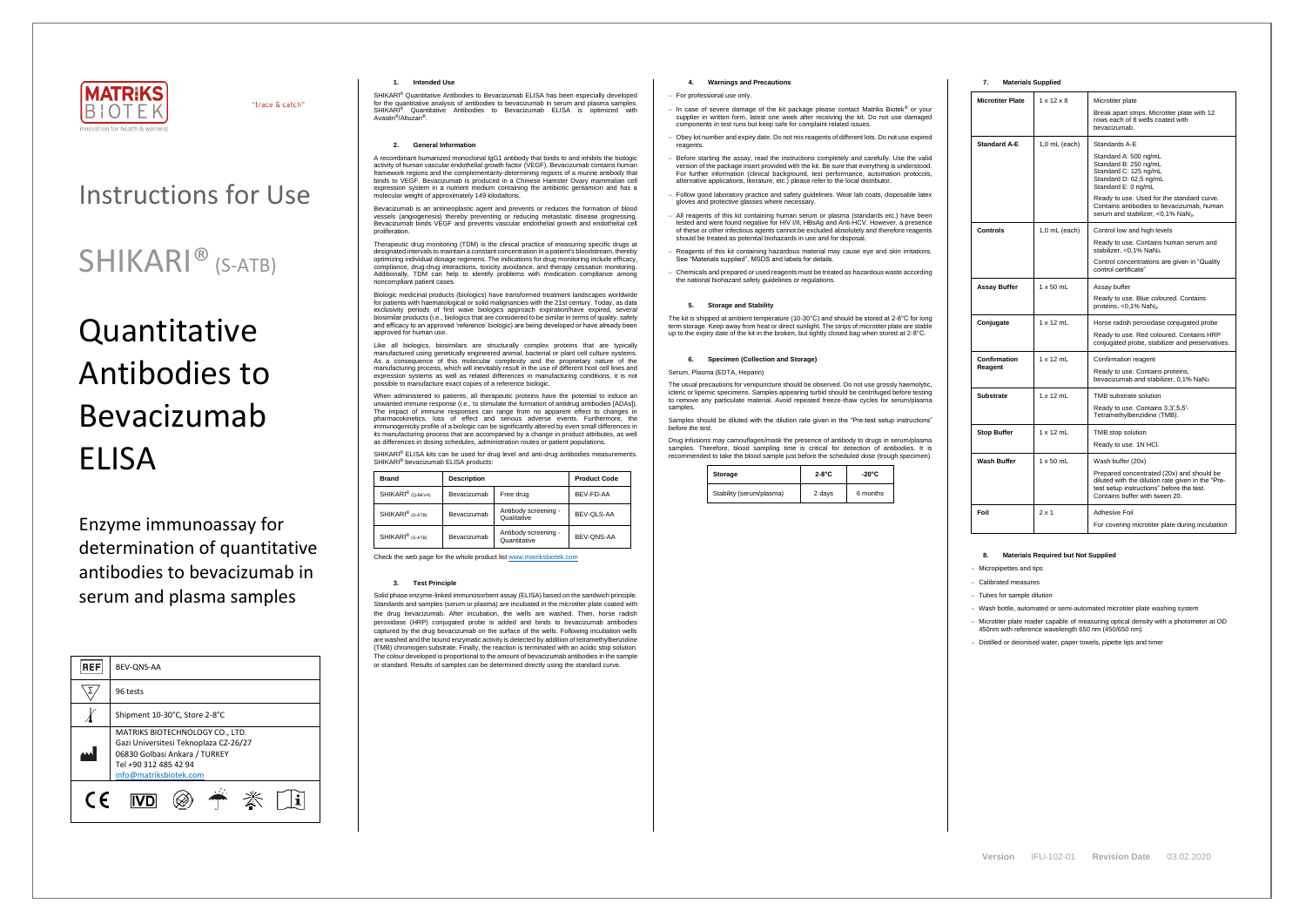

"trace & catch"

# Instructions for Use

# **Quantitative** Antibodies to Bevacizumab ELISA

## SHIKARI® (S-ATB)

Enzyme immunoassay for determination of quantitative antibodies to bevacizumab in serum and plasma samples

| <b>REF</b> | BEV-ONS-AA                                                                                                                                                   |  |  |
|------------|--------------------------------------------------------------------------------------------------------------------------------------------------------------|--|--|
|            | 96 tests                                                                                                                                                     |  |  |
|            | Shipment 10-30°C, Store 2-8°C                                                                                                                                |  |  |
|            | MATRIKS BIOTECHNOLOGY CO., LTD.<br>Gazi Universitesi Teknoplaza CZ-26/27<br>06830 Golbasi Ankara / TURKEY<br>Tel +90 312 485 42 94<br>info@matriksbiotek.com |  |  |
| $\epsilon$ |                                                                                                                                                              |  |  |

#### **1. Intended Use**

SHIKARI® Quantitative Antibodies to Bevacizumab ELISA has been especially developed for the quantitative analysis of antibodies to bevacizumab in serum and plasma samples. SHIKARI<sup>®</sup> Quantitative Antibodies to Bevacizumab ELISA is optimized with Avastin® /Altuzan®

#### **2. General Information**

A recombinant humanized monoclonal IgG1 antibody that binds to and inhibits the biologic activity of human vascular endothelial growth factor (VEGF). Bevacizumab contains human framework regions and the complementarity-determining regions of a murine antibody that binds to VEGF. Bevacizumab is produced in a Chinese Hamster Ovary mammalian cell expression system in a nutrient medium containing the antibiotic gentamicin and has a molecular weight of approximately 149 kilodaltons.

Bevacizumab is an antineoplastic agent and prevents or reduces the formation of blood vessels (angiogenesis) thereby preventing or reducing metastatic disease progressing. Bevacizumab binds VEGF and prevents vascular endothelial growth and endothelial cell proliferation.

Like all biologics, biosimilars are structurally complex proteins that are typically manufactured using genetically engineered animal, bacterial or plant cell culture systems. As a consequence of this molecular complexity and the proprietary nature of the manufacturing process, which will inevitably result in the use of different host cell lines and expression systems as well as related differences in manufacturing conditions, it is not possible to manufacture exact copies of a reference biologic.

Therapeutic drug monitoring (TDM) is the clinical practice of measuring specific drugs at designated intervals to maintain a constant concentration in a patient's bloodstream, thereby optimizing individual dosage regimens. The indications for drug monitoring include efficacy, compliance, drug-drug interactions, toxicity avoidance, and therapy cessation monitoring. Additionally, TDM can help to identify problems with medication compliance among noncompliant patient cases.

When administered to patients, all therapeutic proteins have the potential to induce an unwanted immune response (i.e., to stimulate the formation of antidrug antibodies [ADAs]). The impact of immune responses can range from no apparent effect to changes in pharmacokinetics, loss of effect and serious adverse events. Furthermore, the immunogenicity profile of a biologic can be significantly altered by even small differences in its manufacturing process that are accompanied by a change in product attributes, as well as differences in dosing schedules, administration routes or patient populations.

SHIKARI® ELISA kits can be used for drug level and anti-drug antibodies measurements. SHIKARI<sup>®</sup> bevacizumab ELISA products:

Biologic medicinal products (biologics) have transformed treatment landscapes worldwide for patients with haematological or solid malignancies with the 21st century. Today, as data exclusivity periods of first wave biologics approach expiration/have expired, several biosimilar products (i.e., biologics that are considered to be similar in terms of quality, safety and efficacy to an approved 'reference' biologic) are being developed or have already been approved for human use.

> The usual precautions for venipuncture should be observed. Do not use grossly haemolytic, icteric or lipemic specimens. Samples appearing turbid should be centrifuged before testing to remove any particulate material. Avoid repeated freeze-thaw cycles for serum/plasma samples

| <b>Brand</b>                  | <b>Description</b> |                                      | <b>Product Code</b> |
|-------------------------------|--------------------|--------------------------------------|---------------------|
| SHIKARI <sup>®</sup> (Q-BEVA) | Bevacizumab        | Free drug                            | BEV-FD-AA           |
| SHIKARI <sup>®</sup> (S-ATB)  | Bevacizumab        | Antibody screening -<br>Qualitative  | BEV-OLS-AA          |
| SHIKARI <sup>®</sup> (S-ATB)  | Bevacizumab        | Antibody screening -<br>Quantitative | BEV-QNS-AA          |

Check the web page for the whole product lis[t www.matriksbiotek.com](http://www.matriksbiotek.com/)

#### **3. Test Principle**

Solid phase enzyme-linked immunosorbent assay (ELISA) based on the sandwich principle. Standards and samples (serum or plasma) are incubated in the microtiter plate coated with the drug bevacizumab. After incubation, the wells are washed. Then, horse radish peroxidase (HRP) conjugated probe is added and binds to bevacizumab antibodies captured by the drug bevacizumab on the surface of the wells. Following incubation wells are washed and the bound enzymatic activity is detected by addition of tetramethylbenzidine (TMB) chromogen substrate. Finally, the reaction is terminated with an acidic stop solution. The colour developed is proportional to the amount of bevacizumab antibodies in the sample or standard. Results of samples can be determined directly using the standard curve.

#### **4. Warnings and Precautions**

#### − For professional use only.

- − In case of severe damage of the kit package please contact Matriks Biotek® or your supplier in written form, latest one week after receiving the kit. Do not use damaged components in test runs but keep safe for complaint related issues.
- Obey lot number and expiry date. Do not mix reagents of different lots. Do not use expired reagents
- Before starting the assay, read the instructions completely and carefully. Use the valid version of the package insert provided with the kit. Be sure that everything is understood. For further information (clinical background, test performance, automation protocols, alternative applications, literature, etc.) please refer to the local distributor.
- − Follow good laboratory practice and safety guidelines. Wear lab coats, disposable latex gloves and protective glasses where necessary.
- All reagents of this kit containing human serum or plasma (standards etc.) have been tested and were found negative for HIV I/II, HBsAg and Anti-HCV. However, a presence of these or other infectious agents cannot be excluded absolutely and therefore reagents should be treated as potential biohazards in use and for disposal.
- − Reagents of this kit containing hazardous material may cause eye and skin irritations. See "Materials supplied", MSDS and labels for details.
- − Chemicals and prepared or used reagents must be treated as hazardous waste according the national biohazard safety guidelines or regulations.

#### **5. Storage and Stability**

The kit is shipped at ambient temperature (10-30°C) and should be stored at 2-8°C for long m storage. Keep away from heat or direct sunlight. The strips of microtiter plate are stable up to the expiry date of the kit in the broken, but tightly closed bag when stored at 2-8°C.

#### **6. Specimen (Collection and Storage)**

#### Serum, Plasma (EDTA, Heparin)

Samples should be diluted with the dilution rate given in the "Pre-test setup instructions" before the test.

Drug infusions may camouflages/mask the presence of antibody to drugs in serum/plasma samples. Therefore, blood sampling time is critical for detection of antibodies. It is recommended to take the blood sample just before the scheduled dose (trough specimen).

| Storage                  | $2-8$ °C | $-20^{\circ}$ C |
|--------------------------|----------|-----------------|
| Stability (serum/plasma) | 2 days   | 6 months        |

#### **7. Materials Supplied**

| <b>Microtiter Plate</b> | $1 \times 12 \times 8$ | Microtiter plate                                                                                                                                                              |
|-------------------------|------------------------|-------------------------------------------------------------------------------------------------------------------------------------------------------------------------------|
|                         |                        | Break apart strips. Microtiter plate with 12<br>rows each of 8 wells coated with<br>bevacizumab.                                                                              |
| <b>Standard A-E</b>     | $1,0$ mL (each)        | Standards A-E                                                                                                                                                                 |
|                         |                        | Standard A: 500 ng/mL<br>Standard B: 250 ng/mL<br>Standard C: 125 ng/mL<br>Standard D: 62,5 ng/mL<br>Standard E: 0 ng/mL                                                      |
|                         |                        | Ready to use. Used for the standard curve.<br>Contains antibodies to bevacizumab, human<br>serum and stabilizer, <0,1% NaN <sub>3</sub> .                                     |
| Controls                | $1.0$ mL (each)        | Control low and high levels                                                                                                                                                   |
|                         |                        | Ready to use. Contains human serum and<br>stabilizer, < $0.1\%$ NaN <sub>3</sub> .                                                                                            |
|                         |                        | Control concentrations are given in "Quality<br>control certificate"                                                                                                          |
| Assay Buffer            | $1 \times 50$ mL       | Assay buffer                                                                                                                                                                  |
|                         |                        | Ready to use. Blue coloured. Contains<br>proteins, $<$ 0,1% NaN <sub>3</sub> .                                                                                                |
| Conjugate               | $1 \times 12$ mL       | Horse radish peroxidase conjugated probe                                                                                                                                      |
|                         |                        | Ready to use. Red coloured. Contains HRP<br>conjugated probe, stabilizer and preservatives.                                                                                   |
| Confirmation            | $1 \times 12$ mL       | Confirmation reagent                                                                                                                                                          |
| Reagent                 |                        | Ready to use. Contains proteins,<br>bevacizumab and stabilizer, 0.1% NaN <sub>3</sub>                                                                                         |
| <b>Substrate</b>        | $1 \times 12$ mL       | TMB substrate solution                                                                                                                                                        |
|                         |                        | Ready to use. Contains 3,3',5,5'-<br>Tetramethylbenzidine (TMB).                                                                                                              |
| <b>Stop Buffer</b>      | $1 \times 12$ mL       | TMB stop solution                                                                                                                                                             |
|                         |                        | Ready to use. 1N HCl.                                                                                                                                                         |
| Wash Buffer             | $1 \times 50$ mL       | Wash buffer (20x)                                                                                                                                                             |
|                         |                        | Prepared concentrated (20x) and should be<br>diluted with the dilution rate given in the "Pre-<br>test setup instructions" before the test.<br>Contains buffer with tween 20. |
| Foil                    | $2 \times 1$           | Adhesive Foil                                                                                                                                                                 |
|                         |                        | For covering microtiter plate during incubation                                                                                                                               |

#### **8. Materials Required but Not Supplied**

− Micropipettes and tips

− Calibrated measures

− Tubes for sample dilution

− Wash bottle, automated or semi-automated microtiter plate washing system

− Microtiter plate reader capable of measuring optical density with a photometer at OD 450nm with reference wavelength 650 nm (450/650 nm)

− Distilled or deionised water, paper towels, pipette tips and timer